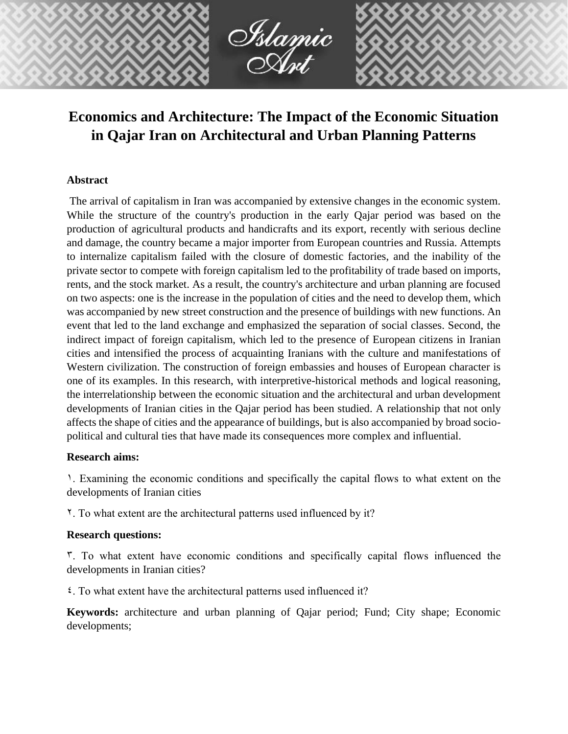

# **Economics and Architecture: The Impact of the Economic Situation in Qajar Iran on Architectural and Urban Planning Patterns**

## **Abstract**

The arrival of capitalism in Iran was accompanied by extensive changes in the economic system. While the structure of the country's production in the early Qajar period was based on the production of agricultural products and handicrafts and its export, recently with serious decline and damage, the country became a major importer from European countries and Russia. Attempts to internalize capitalism failed with the closure of domestic factories, and the inability of the private sector to compete with foreign capitalism led to the profitability of trade based on imports, rents, and the stock market. As a result, the country's architecture and urban planning are focused on two aspects: one is the increase in the population of cities and the need to develop them, which was accompanied by new street construction and the presence of buildings with new functions. An event that led to the land exchange and emphasized the separation of social classes. Second, the indirect impact of foreign capitalism, which led to the presence of European citizens in Iranian cities and intensified the process of acquainting Iranians with the culture and manifestations of Western civilization. The construction of foreign embassies and houses of European character is one of its examples. In this research, with interpretive-historical methods and logical reasoning, the interrelationship between the economic situation and the architectural and urban development developments of Iranian cities in the Qajar period has been studied. A relationship that not only affects the shape of cities and the appearance of buildings, but is also accompanied by broad sociopolitical and cultural ties that have made its consequences more complex and influential.

### **Research aims:**

1. Examining the economic conditions and specifically the capital flows to what extent on the developments of Iranian cities

2. To what extent are the architectural patterns used influenced by it?

### **Research questions:**

 $\tilde{\mathbf{r}}$ . To what extent have economic conditions and specifically capital flows influenced the developments in Iranian cities?

 $\epsilon$ . To what extent have the architectural patterns used influenced it?

**Keywords:** architecture and urban planning of Qajar period; Fund; City shape; Economic developments;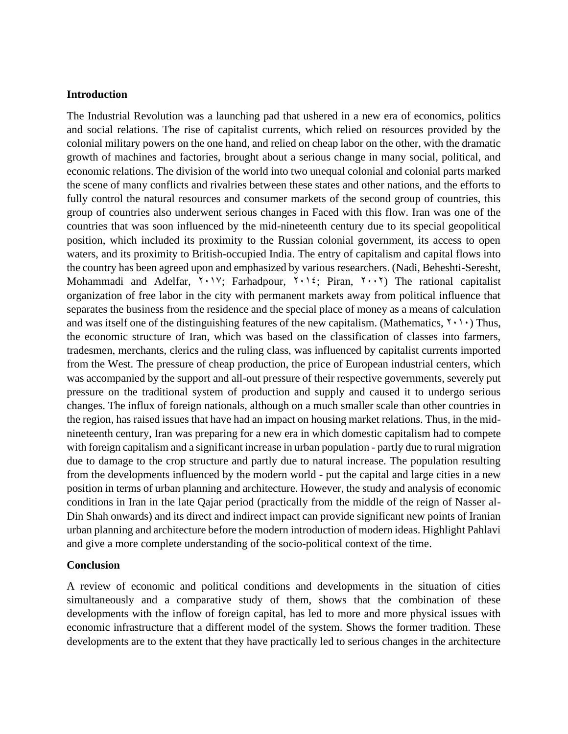#### **Introduction**

The Industrial Revolution was a launching pad that ushered in a new era of economics, politics and social relations. The rise of capitalist currents, which relied on resources provided by the colonial military powers on the one hand, and relied on cheap labor on the other, with the dramatic growth of machines and factories, brought about a serious change in many social, political, and economic relations. The division of the world into two unequal colonial and colonial parts marked the scene of many conflicts and rivalries between these states and other nations, and the efforts to fully control the natural resources and consumer markets of the second group of countries, this group of countries also underwent serious changes in Faced with this flow. Iran was one of the countries that was soon influenced by the mid-nineteenth century due to its special geopolitical position, which included its proximity to the Russian colonial government, its access to open waters, and its proximity to British-occupied India. The entry of capitalism and capital flows into the country has been agreed upon and emphasized by various researchers. (Nadi, Beheshti-Seresht, Mohammadi and Adelfar,  $Y \cdot Y$ ; Farhadpour,  $Y \cdot Y$ ; Piran,  $Y \cdot Y$ ) The rational capitalist organization of free labor in the city with permanent markets away from political influence that separates the business from the residence and the special place of money as a means of calculation and was itself one of the distinguishing features of the new capitalism. (Mathematics,  $\gamma \cdot \gamma$ ) Thus, the economic structure of Iran, which was based on the classification of classes into farmers, tradesmen, merchants, clerics and the ruling class, was influenced by capitalist currents imported from the West. The pressure of cheap production, the price of European industrial centers, which was accompanied by the support and all-out pressure of their respective governments, severely put pressure on the traditional system of production and supply and caused it to undergo serious changes. The influx of foreign nationals, although on a much smaller scale than other countries in the region, has raised issues that have had an impact on housing market relations. Thus, in the midnineteenth century, Iran was preparing for a new era in which domestic capitalism had to compete with foreign capitalism and a significant increase in urban population - partly due to rural migration due to damage to the crop structure and partly due to natural increase. The population resulting from the developments influenced by the modern world - put the capital and large cities in a new position in terms of urban planning and architecture. However, the study and analysis of economic conditions in Iran in the late Qajar period (practically from the middle of the reign of Nasser al-Din Shah onwards) and its direct and indirect impact can provide significant new points of Iranian urban planning and architecture before the modern introduction of modern ideas. Highlight Pahlavi and give a more complete understanding of the socio-political context of the time.

### **Conclusion**

A review of economic and political conditions and developments in the situation of cities simultaneously and a comparative study of them, shows that the combination of these developments with the inflow of foreign capital, has led to more and more physical issues with economic infrastructure that a different model of the system. Shows the former tradition. These developments are to the extent that they have practically led to serious changes in the architecture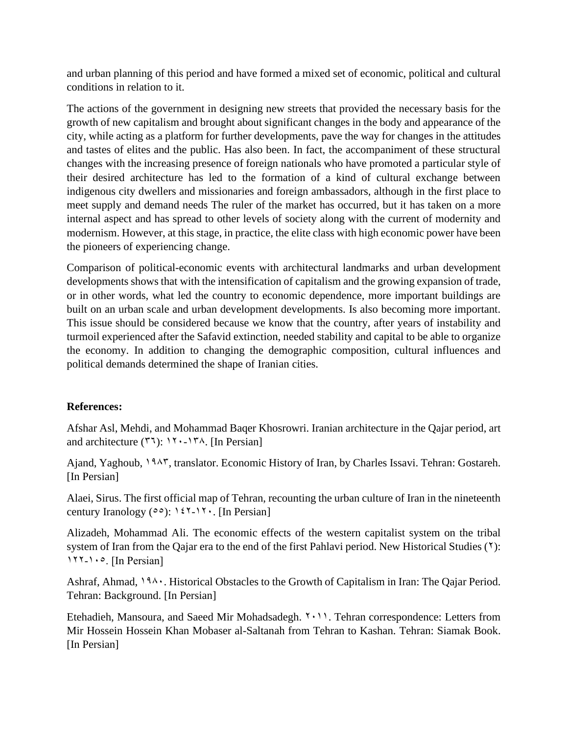and urban planning of this period and have formed a mixed set of economic, political and cultural conditions in relation to it.

The actions of the government in designing new streets that provided the necessary basis for the growth of new capitalism and brought about significant changes in the body and appearance of the city, while acting as a platform for further developments, pave the way for changes in the attitudes and tastes of elites and the public. Has also been. In fact, the accompaniment of these structural changes with the increasing presence of foreign nationals who have promoted a particular style of their desired architecture has led to the formation of a kind of cultural exchange between indigenous city dwellers and missionaries and foreign ambassadors, although in the first place to meet supply and demand needs The ruler of the market has occurred, but it has taken on a more internal aspect and has spread to other levels of society along with the current of modernity and modernism. However, at this stage, in practice, the elite class with high economic power have been the pioneers of experiencing change.

Comparison of political-economic events with architectural landmarks and urban development developments shows that with the intensification of capitalism and the growing expansion of trade, or in other words, what led the country to economic dependence, more important buildings are built on an urban scale and urban development developments. Is also becoming more important. This issue should be considered because we know that the country, after years of instability and turmoil experienced after the Safavid extinction, needed stability and capital to be able to organize the economy. In addition to changing the demographic composition, cultural influences and political demands determined the shape of Iranian cities.

## **References:**

Afshar Asl, Mehdi, and Mohammad Baqer Khosrowri. Iranian architecture in the Qajar period, art and architecture  $(77)$ :  $17 \cdot -17$ <sup>A</sup>. [In Persian]

Ajand, Yaghoub, 1945, translator. Economic History of Iran, by Charles Issavi. Tehran: Gostareh. [In Persian]

Alaei, Sirus. The first official map of Tehran, recounting the urban culture of Iran in the nineteenth century Iranology ( $0$ ): 127-17. [In Persian]

Alizadeh, Mohammad Ali. The economic effects of the western capitalist system on the tribal system of Iran from the Qajar era to the end of the first Pahlavi period. New Historical Studies (1):  $117 - 10$ . [In Persian]

Ashraf, Ahmad,  $19\lambda \cdot$ . Historical Obstacles to the Growth of Capitalism in Iran: The Qajar Period. Tehran: Background. [In Persian]

Etehadieh, Mansoura, and Saeed Mir Mohadsadegh.  $\{\cdot\}$ . Tehran correspondence: Letters from Mir Hossein Hossein Khan Mobaser al-Saltanah from Tehran to Kashan. Tehran: Siamak Book. [In Persian]